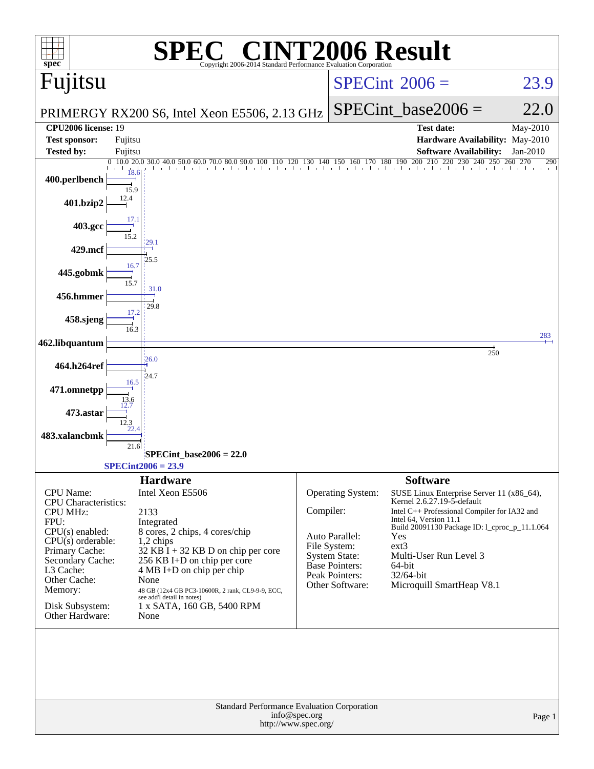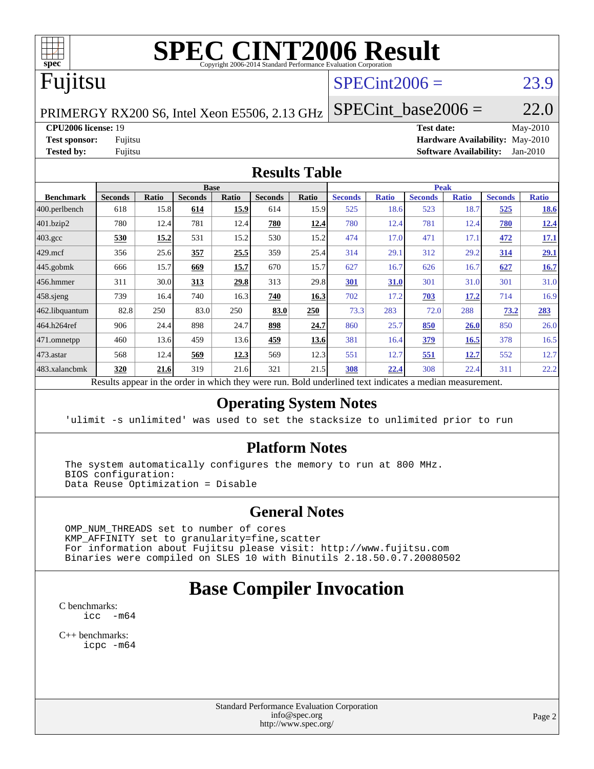

# **[SPEC CINT2006 Result](http://www.spec.org/auto/cpu2006/Docs/result-fields.html#SPECCINT2006Result)**

# Fujitsu

# $SPECint2006 = 23.9$  $SPECint2006 = 23.9$

PRIMERGY RX200 S6, Intel Xeon E5506, 2.13 GHz

SPECint base2006 =  $22.0$ 

**[CPU2006 license:](http://www.spec.org/auto/cpu2006/Docs/result-fields.html#CPU2006license)** 19 **[Test date:](http://www.spec.org/auto/cpu2006/Docs/result-fields.html#Testdate)** May-2010 **[Test sponsor:](http://www.spec.org/auto/cpu2006/Docs/result-fields.html#Testsponsor)** Fujitsu **[Hardware Availability:](http://www.spec.org/auto/cpu2006/Docs/result-fields.html#HardwareAvailability)** May-2010 **[Tested by:](http://www.spec.org/auto/cpu2006/Docs/result-fields.html#Testedby)** Fujitsu **[Software Availability:](http://www.spec.org/auto/cpu2006/Docs/result-fields.html#SoftwareAvailability)** Jan-2010

### **[Results Table](http://www.spec.org/auto/cpu2006/Docs/result-fields.html#ResultsTable)**

|                    |                |       |                | <b>Base</b> |                |              |                |              | <b>Peak</b>    |              |                |              |
|--------------------|----------------|-------|----------------|-------------|----------------|--------------|----------------|--------------|----------------|--------------|----------------|--------------|
| <b>Benchmark</b>   | <b>Seconds</b> | Ratio | <b>Seconds</b> | Ratio       | <b>Seconds</b> | <b>Ratio</b> | <b>Seconds</b> | <b>Ratio</b> | <b>Seconds</b> | <b>Ratio</b> | <b>Seconds</b> | <b>Ratio</b> |
| 400.perlbench      | 618            | 15.8  | 614            | 15.9        | 614            | 15.9         | 525            | 18.6         | 523            | 18.7         | 525            | 18.6         |
| 401.bzip2          | 780            | 12.4  | 781            | 12.4        | 780            | <u>12.4</u>  | 780            | 12.4         | 781            | 12.4         | 780            | 12.4         |
| $403.\mathrm{gcc}$ | 530            | 15.2  | 531            | 15.2        | 530            | 15.2         | 474            | 17.0         | 471            | 17.1         | 472            | <u>17.1</u>  |
| $429$ .mcf         | 356            | 25.6  | 357            | 25.5        | 359            | 25.4         | 314            | 29.1         | 312            | 29.2         | 314            | 29.1         |
| 445.gobmk          | 666            | 15.7  | 669            | 15.7        | 670            | 15.7         | 627            | 16.7         | 626            | 16.7         | 627            | 16.7         |
| 456.hmmer          | 311            | 30.0  | 313            | 29.8        | 313            | 29.8         | 301            | 31.0         | 301            | 31.0         | 301            | 31.0         |
| $458$ .sjeng       | 739            | 16.4  | 740            | 16.3        | 740            | 16.3         | 702            | 17.2         | 703            | 17.2         | 714            | 16.9         |
| 462.libquantum     | 82.8           | 250   | 83.0           | 250         | 83.0           | 250          | 73.3           | 283          | 72.0           | 288          | 73.2           | 283          |
| 464.h264ref        | 906            | 24.4  | 898            | 24.7        | 898            | 24.7         | 860            | 25.7         | 850            | 26.0         | 850            | 26.0         |
| 471.omnetpp        | 460            | 13.6  | 459            | 13.6        | 459            | 13.6         | 381            | 16.4         | 379            | 16.5         | 378            | 16.5         |
| $ 473$ . astar     | 568            | 12.4  | 569            | 12.3        | 569            | 12.3         | 551            | 12.7         | 551            | 12.7         | 552            | 12.7         |
| 483.xalancbmk      | 320            | 21.6  | 319            | 21.6        | 321            | 21.5         | 308            | 22.4         | 308            | 22.4         | 311            | 22.2         |

Results appear in the [order in which they were run.](http://www.spec.org/auto/cpu2006/Docs/result-fields.html#RunOrder) Bold underlined text [indicates a median measurement.](http://www.spec.org/auto/cpu2006/Docs/result-fields.html#Median)

### **[Operating System Notes](http://www.spec.org/auto/cpu2006/Docs/result-fields.html#OperatingSystemNotes)**

'ulimit -s unlimited' was used to set the stacksize to unlimited prior to run

### **[Platform Notes](http://www.spec.org/auto/cpu2006/Docs/result-fields.html#PlatformNotes)**

 The system automatically configures the memory to run at 800 MHz. BIOS configuration: Data Reuse Optimization = Disable

### **[General Notes](http://www.spec.org/auto/cpu2006/Docs/result-fields.html#GeneralNotes)**

 OMP\_NUM\_THREADS set to number of cores KMP\_AFFINITY set to granularity=fine,scatter For information about Fujitsu please visit: <http://www.fujitsu.com> Binaries were compiled on SLES 10 with Binutils 2.18.50.0.7.20080502

# **[Base Compiler Invocation](http://www.spec.org/auto/cpu2006/Docs/result-fields.html#BaseCompilerInvocation)**

[C benchmarks](http://www.spec.org/auto/cpu2006/Docs/result-fields.html#Cbenchmarks):  $\text{icc}$   $-\text{m64}$ 

[C++ benchmarks:](http://www.spec.org/auto/cpu2006/Docs/result-fields.html#CXXbenchmarks) [icpc -m64](http://www.spec.org/cpu2006/results/res2010q3/cpu2006-20100706-12231.flags.html#user_CXXbase_intel_icpc_64bit_fc66a5337ce925472a5c54ad6a0de310)

> Standard Performance Evaluation Corporation [info@spec.org](mailto:info@spec.org) <http://www.spec.org/>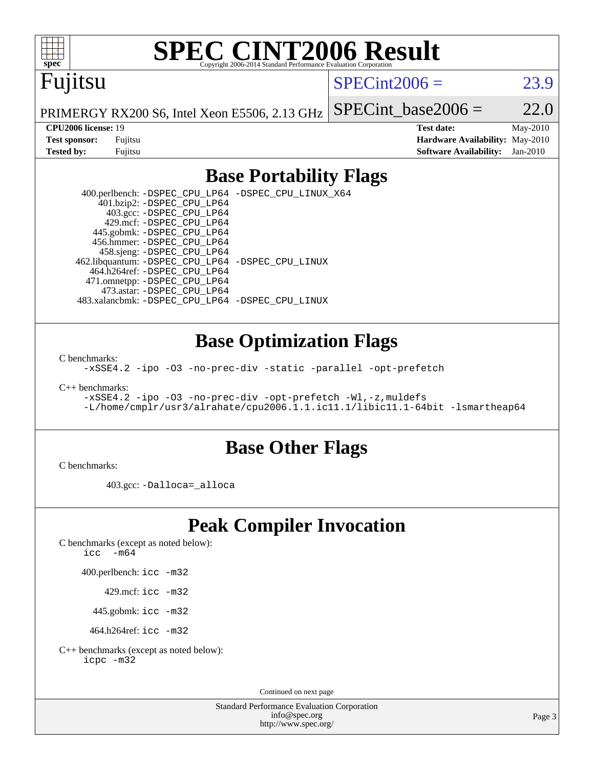

# **[SPEC CINT2006 Result](http://www.spec.org/auto/cpu2006/Docs/result-fields.html#SPECCINT2006Result)**

# Fujitsu

 $SPECint2006 = 23.9$  $SPECint2006 = 23.9$ 

PRIMERGY RX200 S6, Intel Xeon E5506, 2.13 GHz SPECint base2006 =  $22.0$ 

**[CPU2006 license:](http://www.spec.org/auto/cpu2006/Docs/result-fields.html#CPU2006license)** 19 **[Test date:](http://www.spec.org/auto/cpu2006/Docs/result-fields.html#Testdate)** May-2010 **[Test sponsor:](http://www.spec.org/auto/cpu2006/Docs/result-fields.html#Testsponsor)** Fujitsu **[Hardware Availability:](http://www.spec.org/auto/cpu2006/Docs/result-fields.html#HardwareAvailability)** May-2010 **[Tested by:](http://www.spec.org/auto/cpu2006/Docs/result-fields.html#Testedby)** Fujitsu **[Software Availability:](http://www.spec.org/auto/cpu2006/Docs/result-fields.html#SoftwareAvailability)** Jan-2010

## **[Base Portability Flags](http://www.spec.org/auto/cpu2006/Docs/result-fields.html#BasePortabilityFlags)**

 400.perlbench: [-DSPEC\\_CPU\\_LP64](http://www.spec.org/cpu2006/results/res2010q3/cpu2006-20100706-12231.flags.html#b400.perlbench_basePORTABILITY_DSPEC_CPU_LP64) [-DSPEC\\_CPU\\_LINUX\\_X64](http://www.spec.org/cpu2006/results/res2010q3/cpu2006-20100706-12231.flags.html#b400.perlbench_baseCPORTABILITY_DSPEC_CPU_LINUX_X64) 401.bzip2: [-DSPEC\\_CPU\\_LP64](http://www.spec.org/cpu2006/results/res2010q3/cpu2006-20100706-12231.flags.html#suite_basePORTABILITY401_bzip2_DSPEC_CPU_LP64) 403.gcc: [-DSPEC\\_CPU\\_LP64](http://www.spec.org/cpu2006/results/res2010q3/cpu2006-20100706-12231.flags.html#suite_basePORTABILITY403_gcc_DSPEC_CPU_LP64) 429.mcf: [-DSPEC\\_CPU\\_LP64](http://www.spec.org/cpu2006/results/res2010q3/cpu2006-20100706-12231.flags.html#suite_basePORTABILITY429_mcf_DSPEC_CPU_LP64) 445.gobmk: [-DSPEC\\_CPU\\_LP64](http://www.spec.org/cpu2006/results/res2010q3/cpu2006-20100706-12231.flags.html#suite_basePORTABILITY445_gobmk_DSPEC_CPU_LP64) 456.hmmer: [-DSPEC\\_CPU\\_LP64](http://www.spec.org/cpu2006/results/res2010q3/cpu2006-20100706-12231.flags.html#suite_basePORTABILITY456_hmmer_DSPEC_CPU_LP64) 458.sjeng: [-DSPEC\\_CPU\\_LP64](http://www.spec.org/cpu2006/results/res2010q3/cpu2006-20100706-12231.flags.html#suite_basePORTABILITY458_sjeng_DSPEC_CPU_LP64) 462.libquantum: [-DSPEC\\_CPU\\_LP64](http://www.spec.org/cpu2006/results/res2010q3/cpu2006-20100706-12231.flags.html#suite_basePORTABILITY462_libquantum_DSPEC_CPU_LP64) [-DSPEC\\_CPU\\_LINUX](http://www.spec.org/cpu2006/results/res2010q3/cpu2006-20100706-12231.flags.html#b462.libquantum_baseCPORTABILITY_DSPEC_CPU_LINUX) 464.h264ref: [-DSPEC\\_CPU\\_LP64](http://www.spec.org/cpu2006/results/res2010q3/cpu2006-20100706-12231.flags.html#suite_basePORTABILITY464_h264ref_DSPEC_CPU_LP64) 471.omnetpp: [-DSPEC\\_CPU\\_LP64](http://www.spec.org/cpu2006/results/res2010q3/cpu2006-20100706-12231.flags.html#suite_basePORTABILITY471_omnetpp_DSPEC_CPU_LP64) 473.astar: [-DSPEC\\_CPU\\_LP64](http://www.spec.org/cpu2006/results/res2010q3/cpu2006-20100706-12231.flags.html#suite_basePORTABILITY473_astar_DSPEC_CPU_LP64) 483.xalancbmk: [-DSPEC\\_CPU\\_LP64](http://www.spec.org/cpu2006/results/res2010q3/cpu2006-20100706-12231.flags.html#suite_basePORTABILITY483_xalancbmk_DSPEC_CPU_LP64) [-DSPEC\\_CPU\\_LINUX](http://www.spec.org/cpu2006/results/res2010q3/cpu2006-20100706-12231.flags.html#b483.xalancbmk_baseCXXPORTABILITY_DSPEC_CPU_LINUX)

### **[Base Optimization Flags](http://www.spec.org/auto/cpu2006/Docs/result-fields.html#BaseOptimizationFlags)**

[C benchmarks](http://www.spec.org/auto/cpu2006/Docs/result-fields.html#Cbenchmarks):

[-xSSE4.2](http://www.spec.org/cpu2006/results/res2010q3/cpu2006-20100706-12231.flags.html#user_CCbase_f-xSSE42_f91528193cf0b216347adb8b939d4107) [-ipo](http://www.spec.org/cpu2006/results/res2010q3/cpu2006-20100706-12231.flags.html#user_CCbase_f-ipo) [-O3](http://www.spec.org/cpu2006/results/res2010q3/cpu2006-20100706-12231.flags.html#user_CCbase_f-O3) [-no-prec-div](http://www.spec.org/cpu2006/results/res2010q3/cpu2006-20100706-12231.flags.html#user_CCbase_f-no-prec-div) [-static](http://www.spec.org/cpu2006/results/res2010q3/cpu2006-20100706-12231.flags.html#user_CCbase_f-static) [-parallel](http://www.spec.org/cpu2006/results/res2010q3/cpu2006-20100706-12231.flags.html#user_CCbase_f-parallel) [-opt-prefetch](http://www.spec.org/cpu2006/results/res2010q3/cpu2006-20100706-12231.flags.html#user_CCbase_f-opt-prefetch)

[C++ benchmarks:](http://www.spec.org/auto/cpu2006/Docs/result-fields.html#CXXbenchmarks)

[-xSSE4.2](http://www.spec.org/cpu2006/results/res2010q3/cpu2006-20100706-12231.flags.html#user_CXXbase_f-xSSE42_f91528193cf0b216347adb8b939d4107) [-ipo](http://www.spec.org/cpu2006/results/res2010q3/cpu2006-20100706-12231.flags.html#user_CXXbase_f-ipo) [-O3](http://www.spec.org/cpu2006/results/res2010q3/cpu2006-20100706-12231.flags.html#user_CXXbase_f-O3) [-no-prec-div](http://www.spec.org/cpu2006/results/res2010q3/cpu2006-20100706-12231.flags.html#user_CXXbase_f-no-prec-div) [-opt-prefetch](http://www.spec.org/cpu2006/results/res2010q3/cpu2006-20100706-12231.flags.html#user_CXXbase_f-opt-prefetch) [-Wl,-z,muldefs](http://www.spec.org/cpu2006/results/res2010q3/cpu2006-20100706-12231.flags.html#user_CXXbase_link_force_multiple1_74079c344b956b9658436fd1b6dd3a8a) [-L/home/cmplr/usr3/alrahate/cpu2006.1.1.ic11.1/libic11.1-64bit -lsmartheap64](http://www.spec.org/cpu2006/results/res2010q3/cpu2006-20100706-12231.flags.html#user_CXXbase_SmartHeap64_e2306cda84805d1ab360117a79ff779c)

### **[Base Other Flags](http://www.spec.org/auto/cpu2006/Docs/result-fields.html#BaseOtherFlags)**

[C benchmarks](http://www.spec.org/auto/cpu2006/Docs/result-fields.html#Cbenchmarks):

403.gcc: [-Dalloca=\\_alloca](http://www.spec.org/cpu2006/results/res2010q3/cpu2006-20100706-12231.flags.html#b403.gcc_baseEXTRA_CFLAGS_Dalloca_be3056838c12de2578596ca5467af7f3)

# **[Peak Compiler Invocation](http://www.spec.org/auto/cpu2006/Docs/result-fields.html#PeakCompilerInvocation)**

[C benchmarks \(except as noted below\)](http://www.spec.org/auto/cpu2006/Docs/result-fields.html#Cbenchmarksexceptasnotedbelow):

icc  $-m64$ 

400.perlbench: [icc -m32](http://www.spec.org/cpu2006/results/res2010q3/cpu2006-20100706-12231.flags.html#user_peakCCLD400_perlbench_intel_icc_32bit_a6a621f8d50482236b970c6ac5f55f93)

429.mcf: [icc -m32](http://www.spec.org/cpu2006/results/res2010q3/cpu2006-20100706-12231.flags.html#user_peakCCLD429_mcf_intel_icc_32bit_a6a621f8d50482236b970c6ac5f55f93)

445.gobmk: [icc -m32](http://www.spec.org/cpu2006/results/res2010q3/cpu2006-20100706-12231.flags.html#user_peakCCLD445_gobmk_intel_icc_32bit_a6a621f8d50482236b970c6ac5f55f93)

464.h264ref: [icc -m32](http://www.spec.org/cpu2006/results/res2010q3/cpu2006-20100706-12231.flags.html#user_peakCCLD464_h264ref_intel_icc_32bit_a6a621f8d50482236b970c6ac5f55f93)

[C++ benchmarks \(except as noted below\):](http://www.spec.org/auto/cpu2006/Docs/result-fields.html#CXXbenchmarksexceptasnotedbelow) [icpc -m32](http://www.spec.org/cpu2006/results/res2010q3/cpu2006-20100706-12231.flags.html#user_CXXpeak_intel_icpc_32bit_4e5a5ef1a53fd332b3c49e69c3330699)

Continued on next page

Standard Performance Evaluation Corporation [info@spec.org](mailto:info@spec.org) <http://www.spec.org/>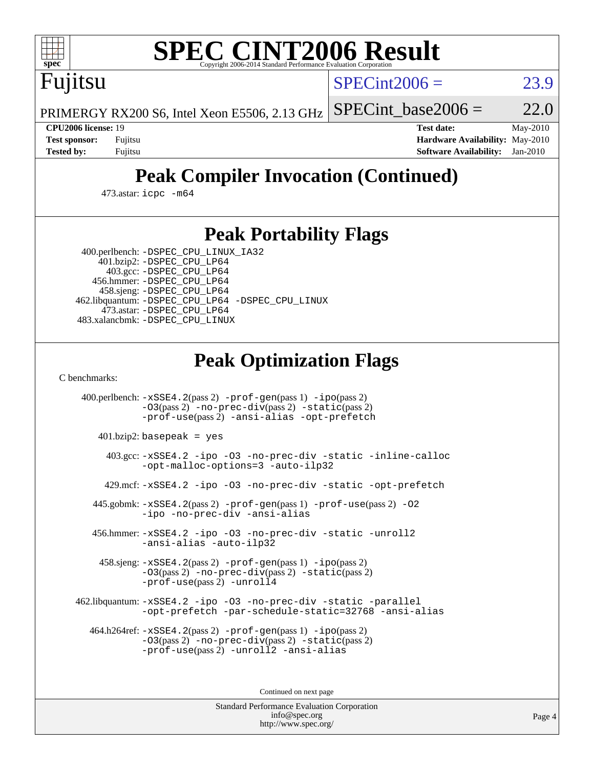

# **[SPEC CINT2006 Result](http://www.spec.org/auto/cpu2006/Docs/result-fields.html#SPECCINT2006Result)**

Fujitsu

 $SPECint2006 = 23.9$  $SPECint2006 = 23.9$ 

PRIMERGY RX200 S6, Intel Xeon E5506, 2.13 GHz SPECint base2006 =  $22.0$ 

**[CPU2006 license:](http://www.spec.org/auto/cpu2006/Docs/result-fields.html#CPU2006license)** 19 **[Test date:](http://www.spec.org/auto/cpu2006/Docs/result-fields.html#Testdate)** May-2010 **[Test sponsor:](http://www.spec.org/auto/cpu2006/Docs/result-fields.html#Testsponsor)** Fujitsu **[Hardware Availability:](http://www.spec.org/auto/cpu2006/Docs/result-fields.html#HardwareAvailability)** May-2010 **[Tested by:](http://www.spec.org/auto/cpu2006/Docs/result-fields.html#Testedby)** Fujitsu **[Software Availability:](http://www.spec.org/auto/cpu2006/Docs/result-fields.html#SoftwareAvailability)** Jan-2010

# **[Peak Compiler Invocation \(Continued\)](http://www.spec.org/auto/cpu2006/Docs/result-fields.html#PeakCompilerInvocation)**

473.astar: [icpc -m64](http://www.spec.org/cpu2006/results/res2010q3/cpu2006-20100706-12231.flags.html#user_peakCXXLD473_astar_intel_icpc_64bit_fc66a5337ce925472a5c54ad6a0de310)

# **[Peak Portability Flags](http://www.spec.org/auto/cpu2006/Docs/result-fields.html#PeakPortabilityFlags)**

400.perlbench: [-DSPEC\\_CPU\\_LINUX\\_IA32](http://www.spec.org/cpu2006/results/res2010q3/cpu2006-20100706-12231.flags.html#b400.perlbench_peakCPORTABILITY_DSPEC_CPU_LINUX_IA32)

 401.bzip2: [-DSPEC\\_CPU\\_LP64](http://www.spec.org/cpu2006/results/res2010q3/cpu2006-20100706-12231.flags.html#suite_peakPORTABILITY401_bzip2_DSPEC_CPU_LP64) 403.gcc: [-DSPEC\\_CPU\\_LP64](http://www.spec.org/cpu2006/results/res2010q3/cpu2006-20100706-12231.flags.html#suite_peakPORTABILITY403_gcc_DSPEC_CPU_LP64) 456.hmmer: [-DSPEC\\_CPU\\_LP64](http://www.spec.org/cpu2006/results/res2010q3/cpu2006-20100706-12231.flags.html#suite_peakPORTABILITY456_hmmer_DSPEC_CPU_LP64) 458.sjeng: [-DSPEC\\_CPU\\_LP64](http://www.spec.org/cpu2006/results/res2010q3/cpu2006-20100706-12231.flags.html#suite_peakPORTABILITY458_sjeng_DSPEC_CPU_LP64) 462.libquantum: [-DSPEC\\_CPU\\_LP64](http://www.spec.org/cpu2006/results/res2010q3/cpu2006-20100706-12231.flags.html#suite_peakPORTABILITY462_libquantum_DSPEC_CPU_LP64) [-DSPEC\\_CPU\\_LINUX](http://www.spec.org/cpu2006/results/res2010q3/cpu2006-20100706-12231.flags.html#b462.libquantum_peakCPORTABILITY_DSPEC_CPU_LINUX) 473.astar: [-DSPEC\\_CPU\\_LP64](http://www.spec.org/cpu2006/results/res2010q3/cpu2006-20100706-12231.flags.html#suite_peakPORTABILITY473_astar_DSPEC_CPU_LP64) 483.xalancbmk: [-DSPEC\\_CPU\\_LINUX](http://www.spec.org/cpu2006/results/res2010q3/cpu2006-20100706-12231.flags.html#b483.xalancbmk_peakCXXPORTABILITY_DSPEC_CPU_LINUX)

# **[Peak Optimization Flags](http://www.spec.org/auto/cpu2006/Docs/result-fields.html#PeakOptimizationFlags)**

[C benchmarks](http://www.spec.org/auto/cpu2006/Docs/result-fields.html#Cbenchmarks):

 400.perlbench: [-xSSE4.2](http://www.spec.org/cpu2006/results/res2010q3/cpu2006-20100706-12231.flags.html#user_peakPASS2_CFLAGSPASS2_LDCFLAGS400_perlbench_f-xSSE42_f91528193cf0b216347adb8b939d4107)(pass 2) [-prof-gen](http://www.spec.org/cpu2006/results/res2010q3/cpu2006-20100706-12231.flags.html#user_peakPASS1_CFLAGSPASS1_LDCFLAGS400_perlbench_prof_gen_e43856698f6ca7b7e442dfd80e94a8fc)(pass 1) [-ipo](http://www.spec.org/cpu2006/results/res2010q3/cpu2006-20100706-12231.flags.html#user_peakPASS2_CFLAGSPASS2_LDCFLAGS400_perlbench_f-ipo)(pass 2) [-O3](http://www.spec.org/cpu2006/results/res2010q3/cpu2006-20100706-12231.flags.html#user_peakPASS2_CFLAGSPASS2_LDCFLAGS400_perlbench_f-O3)(pass 2) [-no-prec-div](http://www.spec.org/cpu2006/results/res2010q3/cpu2006-20100706-12231.flags.html#user_peakPASS2_CFLAGSPASS2_LDCFLAGS400_perlbench_f-no-prec-div)(pass 2) [-static](http://www.spec.org/cpu2006/results/res2010q3/cpu2006-20100706-12231.flags.html#user_peakPASS2_CFLAGSPASS2_LDCFLAGS400_perlbench_f-static)(pass 2) [-prof-use](http://www.spec.org/cpu2006/results/res2010q3/cpu2006-20100706-12231.flags.html#user_peakPASS2_CFLAGSPASS2_LDCFLAGS400_perlbench_prof_use_bccf7792157ff70d64e32fe3e1250b55)(pass 2) [-ansi-alias](http://www.spec.org/cpu2006/results/res2010q3/cpu2006-20100706-12231.flags.html#user_peakCOPTIMIZE400_perlbench_f-ansi-alias) [-opt-prefetch](http://www.spec.org/cpu2006/results/res2010q3/cpu2006-20100706-12231.flags.html#user_peakCOPTIMIZE400_perlbench_f-opt-prefetch) 401.bzip2: basepeak = yes 403.gcc: [-xSSE4.2](http://www.spec.org/cpu2006/results/res2010q3/cpu2006-20100706-12231.flags.html#user_peakCOPTIMIZE403_gcc_f-xSSE42_f91528193cf0b216347adb8b939d4107) [-ipo](http://www.spec.org/cpu2006/results/res2010q3/cpu2006-20100706-12231.flags.html#user_peakCOPTIMIZE403_gcc_f-ipo) [-O3](http://www.spec.org/cpu2006/results/res2010q3/cpu2006-20100706-12231.flags.html#user_peakCOPTIMIZE403_gcc_f-O3) [-no-prec-div](http://www.spec.org/cpu2006/results/res2010q3/cpu2006-20100706-12231.flags.html#user_peakCOPTIMIZE403_gcc_f-no-prec-div) [-static](http://www.spec.org/cpu2006/results/res2010q3/cpu2006-20100706-12231.flags.html#user_peakCOPTIMIZE403_gcc_f-static) [-inline-calloc](http://www.spec.org/cpu2006/results/res2010q3/cpu2006-20100706-12231.flags.html#user_peakCOPTIMIZE403_gcc_f-inline-calloc) [-opt-malloc-options=3](http://www.spec.org/cpu2006/results/res2010q3/cpu2006-20100706-12231.flags.html#user_peakCOPTIMIZE403_gcc_f-opt-malloc-options_13ab9b803cf986b4ee62f0a5998c2238) [-auto-ilp32](http://www.spec.org/cpu2006/results/res2010q3/cpu2006-20100706-12231.flags.html#user_peakCOPTIMIZE403_gcc_f-auto-ilp32) 429.mcf: [-xSSE4.2](http://www.spec.org/cpu2006/results/res2010q3/cpu2006-20100706-12231.flags.html#user_peakCOPTIMIZE429_mcf_f-xSSE42_f91528193cf0b216347adb8b939d4107) [-ipo](http://www.spec.org/cpu2006/results/res2010q3/cpu2006-20100706-12231.flags.html#user_peakCOPTIMIZE429_mcf_f-ipo) [-O3](http://www.spec.org/cpu2006/results/res2010q3/cpu2006-20100706-12231.flags.html#user_peakCOPTIMIZE429_mcf_f-O3) [-no-prec-div](http://www.spec.org/cpu2006/results/res2010q3/cpu2006-20100706-12231.flags.html#user_peakCOPTIMIZE429_mcf_f-no-prec-div) [-static](http://www.spec.org/cpu2006/results/res2010q3/cpu2006-20100706-12231.flags.html#user_peakCOPTIMIZE429_mcf_f-static) [-opt-prefetch](http://www.spec.org/cpu2006/results/res2010q3/cpu2006-20100706-12231.flags.html#user_peakCOPTIMIZE429_mcf_f-opt-prefetch) 445.gobmk: [-xSSE4.2](http://www.spec.org/cpu2006/results/res2010q3/cpu2006-20100706-12231.flags.html#user_peakPASS2_CFLAGSPASS2_LDCFLAGS445_gobmk_f-xSSE42_f91528193cf0b216347adb8b939d4107)(pass 2) [-prof-gen](http://www.spec.org/cpu2006/results/res2010q3/cpu2006-20100706-12231.flags.html#user_peakPASS1_CFLAGSPASS1_LDCFLAGS445_gobmk_prof_gen_e43856698f6ca7b7e442dfd80e94a8fc)(pass 1) [-prof-use](http://www.spec.org/cpu2006/results/res2010q3/cpu2006-20100706-12231.flags.html#user_peakPASS2_CFLAGSPASS2_LDCFLAGS445_gobmk_prof_use_bccf7792157ff70d64e32fe3e1250b55)(pass 2) [-O2](http://www.spec.org/cpu2006/results/res2010q3/cpu2006-20100706-12231.flags.html#user_peakCOPTIMIZE445_gobmk_f-O2) [-ipo](http://www.spec.org/cpu2006/results/res2010q3/cpu2006-20100706-12231.flags.html#user_peakCOPTIMIZE445_gobmk_f-ipo) [-no-prec-div](http://www.spec.org/cpu2006/results/res2010q3/cpu2006-20100706-12231.flags.html#user_peakCOPTIMIZE445_gobmk_f-no-prec-div) [-ansi-alias](http://www.spec.org/cpu2006/results/res2010q3/cpu2006-20100706-12231.flags.html#user_peakCOPTIMIZE445_gobmk_f-ansi-alias) 456.hmmer: [-xSSE4.2](http://www.spec.org/cpu2006/results/res2010q3/cpu2006-20100706-12231.flags.html#user_peakCOPTIMIZE456_hmmer_f-xSSE42_f91528193cf0b216347adb8b939d4107) [-ipo](http://www.spec.org/cpu2006/results/res2010q3/cpu2006-20100706-12231.flags.html#user_peakCOPTIMIZE456_hmmer_f-ipo) [-O3](http://www.spec.org/cpu2006/results/res2010q3/cpu2006-20100706-12231.flags.html#user_peakCOPTIMIZE456_hmmer_f-O3) [-no-prec-div](http://www.spec.org/cpu2006/results/res2010q3/cpu2006-20100706-12231.flags.html#user_peakCOPTIMIZE456_hmmer_f-no-prec-div) [-static](http://www.spec.org/cpu2006/results/res2010q3/cpu2006-20100706-12231.flags.html#user_peakCOPTIMIZE456_hmmer_f-static) [-unroll2](http://www.spec.org/cpu2006/results/res2010q3/cpu2006-20100706-12231.flags.html#user_peakCOPTIMIZE456_hmmer_f-unroll_784dae83bebfb236979b41d2422d7ec2) [-ansi-alias](http://www.spec.org/cpu2006/results/res2010q3/cpu2006-20100706-12231.flags.html#user_peakCOPTIMIZE456_hmmer_f-ansi-alias) [-auto-ilp32](http://www.spec.org/cpu2006/results/res2010q3/cpu2006-20100706-12231.flags.html#user_peakCOPTIMIZE456_hmmer_f-auto-ilp32) 458.sjeng: [-xSSE4.2](http://www.spec.org/cpu2006/results/res2010q3/cpu2006-20100706-12231.flags.html#user_peakPASS2_CFLAGSPASS2_LDCFLAGS458_sjeng_f-xSSE42_f91528193cf0b216347adb8b939d4107)(pass 2) [-prof-gen](http://www.spec.org/cpu2006/results/res2010q3/cpu2006-20100706-12231.flags.html#user_peakPASS1_CFLAGSPASS1_LDCFLAGS458_sjeng_prof_gen_e43856698f6ca7b7e442dfd80e94a8fc)(pass 1) [-ipo](http://www.spec.org/cpu2006/results/res2010q3/cpu2006-20100706-12231.flags.html#user_peakPASS2_CFLAGSPASS2_LDCFLAGS458_sjeng_f-ipo)(pass 2) [-O3](http://www.spec.org/cpu2006/results/res2010q3/cpu2006-20100706-12231.flags.html#user_peakPASS2_CFLAGSPASS2_LDCFLAGS458_sjeng_f-O3)(pass 2) [-no-prec-div](http://www.spec.org/cpu2006/results/res2010q3/cpu2006-20100706-12231.flags.html#user_peakPASS2_CFLAGSPASS2_LDCFLAGS458_sjeng_f-no-prec-div)(pass 2) [-static](http://www.spec.org/cpu2006/results/res2010q3/cpu2006-20100706-12231.flags.html#user_peakPASS2_CFLAGSPASS2_LDCFLAGS458_sjeng_f-static)(pass 2) [-prof-use](http://www.spec.org/cpu2006/results/res2010q3/cpu2006-20100706-12231.flags.html#user_peakPASS2_CFLAGSPASS2_LDCFLAGS458_sjeng_prof_use_bccf7792157ff70d64e32fe3e1250b55)(pass 2) [-unroll4](http://www.spec.org/cpu2006/results/res2010q3/cpu2006-20100706-12231.flags.html#user_peakCOPTIMIZE458_sjeng_f-unroll_4e5e4ed65b7fd20bdcd365bec371b81f) 462.libquantum: [-xSSE4.2](http://www.spec.org/cpu2006/results/res2010q3/cpu2006-20100706-12231.flags.html#user_peakCOPTIMIZE462_libquantum_f-xSSE42_f91528193cf0b216347adb8b939d4107) [-ipo](http://www.spec.org/cpu2006/results/res2010q3/cpu2006-20100706-12231.flags.html#user_peakCOPTIMIZE462_libquantum_f-ipo) [-O3](http://www.spec.org/cpu2006/results/res2010q3/cpu2006-20100706-12231.flags.html#user_peakCOPTIMIZE462_libquantum_f-O3) [-no-prec-div](http://www.spec.org/cpu2006/results/res2010q3/cpu2006-20100706-12231.flags.html#user_peakCOPTIMIZE462_libquantum_f-no-prec-div) [-static](http://www.spec.org/cpu2006/results/res2010q3/cpu2006-20100706-12231.flags.html#user_peakCOPTIMIZE462_libquantum_f-static) [-parallel](http://www.spec.org/cpu2006/results/res2010q3/cpu2006-20100706-12231.flags.html#user_peakCOPTIMIZE462_libquantum_f-parallel) [-opt-prefetch](http://www.spec.org/cpu2006/results/res2010q3/cpu2006-20100706-12231.flags.html#user_peakCOPTIMIZE462_libquantum_f-opt-prefetch) [-par-schedule-static=32768](http://www.spec.org/cpu2006/results/res2010q3/cpu2006-20100706-12231.flags.html#user_peakCOPTIMIZE462_libquantum_f-par-schedule_9386bcd99ba64e99ee01d1aafefddd14) [-ansi-alias](http://www.spec.org/cpu2006/results/res2010q3/cpu2006-20100706-12231.flags.html#user_peakCOPTIMIZE462_libquantum_f-ansi-alias) 464.h264ref: [-xSSE4.2](http://www.spec.org/cpu2006/results/res2010q3/cpu2006-20100706-12231.flags.html#user_peakPASS2_CFLAGSPASS2_LDCFLAGS464_h264ref_f-xSSE42_f91528193cf0b216347adb8b939d4107)(pass 2) [-prof-gen](http://www.spec.org/cpu2006/results/res2010q3/cpu2006-20100706-12231.flags.html#user_peakPASS1_CFLAGSPASS1_LDCFLAGS464_h264ref_prof_gen_e43856698f6ca7b7e442dfd80e94a8fc)(pass 1) [-ipo](http://www.spec.org/cpu2006/results/res2010q3/cpu2006-20100706-12231.flags.html#user_peakPASS2_CFLAGSPASS2_LDCFLAGS464_h264ref_f-ipo)(pass 2) [-O3](http://www.spec.org/cpu2006/results/res2010q3/cpu2006-20100706-12231.flags.html#user_peakPASS2_CFLAGSPASS2_LDCFLAGS464_h264ref_f-O3)(pass 2) [-no-prec-div](http://www.spec.org/cpu2006/results/res2010q3/cpu2006-20100706-12231.flags.html#user_peakPASS2_CFLAGSPASS2_LDCFLAGS464_h264ref_f-no-prec-div)(pass 2) [-static](http://www.spec.org/cpu2006/results/res2010q3/cpu2006-20100706-12231.flags.html#user_peakPASS2_CFLAGSPASS2_LDCFLAGS464_h264ref_f-static)(pass 2) [-prof-use](http://www.spec.org/cpu2006/results/res2010q3/cpu2006-20100706-12231.flags.html#user_peakPASS2_CFLAGSPASS2_LDCFLAGS464_h264ref_prof_use_bccf7792157ff70d64e32fe3e1250b55)(pass 2) [-unroll2](http://www.spec.org/cpu2006/results/res2010q3/cpu2006-20100706-12231.flags.html#user_peakCOPTIMIZE464_h264ref_f-unroll_784dae83bebfb236979b41d2422d7ec2) [-ansi-alias](http://www.spec.org/cpu2006/results/res2010q3/cpu2006-20100706-12231.flags.html#user_peakCOPTIMIZE464_h264ref_f-ansi-alias)

Continued on next page